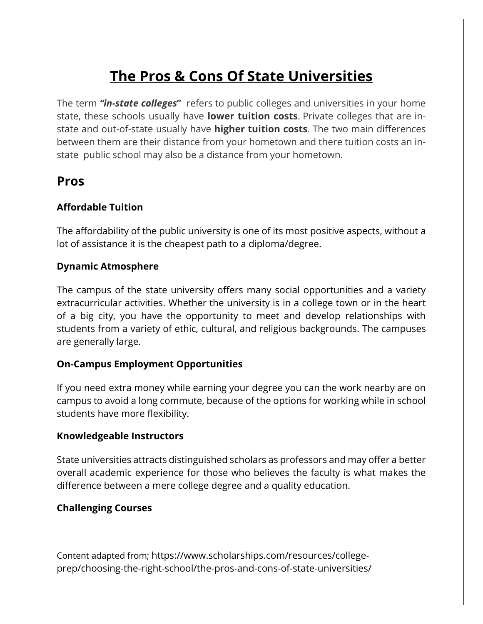# **The Pros & Cons Of State Universities**

The term *"in-state colleges***"** refers to public colleges and universities in your home state, these schools usually have **lower tuition costs**. Private colleges that are instate and out-of-state usually have **higher tuition costs**. The two main differences between them are their distance from your hometown and there tuition costs an instate public school may also be a distance from your hometown.

# **Pros**

# **Affordable Tuition**

The affordability of the public university is one of its most positive aspects, without a lot of assistance it is the cheapest path to a diploma/degree.

# **Dynamic Atmosphere**

The campus of the state university offers many social opportunities and a variety extracurricular activities. Whether the university is in a college town or in the heart of a big city, you have the opportunity to meet and develop relationships with students from a variety of ethic, cultural, and religious backgrounds. The campuses are generally large.

### **On-Campus Employment Opportunities**

If you need extra money while earning your degree you can the work nearby are on campus to avoid a long commute, because of the options for working while in school students have more flexibility.

### **Knowledgeable Instructors**

State universities attracts distinguished scholars as professors and may offer a better overall academic experience for those who believes the faculty is what makes the difference between a mere college degree and a quality education.

### **Challenging Courses**

Content adapted from; https://www.scholarships.com/resources/collegeprep/choosing-the-right-school/the-pros-and-cons-of-state-universities/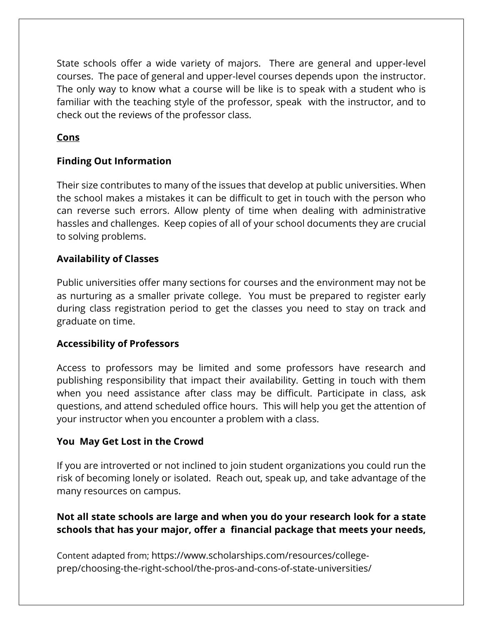State schools offer a wide variety of majors. There are general and upper-level courses. The pace of general and upper-level courses depends upon the instructor. The only way to know what a course will be like is to speak with a student who is familiar with the teaching style of the professor, speak with the instructor, and to check out the reviews of the professor class.

# **Cons**

# **Finding Out Information**

Their size contributes to many of the issues that develop at public universities. When the school makes a mistakes it can be difficult to get in touch with the person who can reverse such errors. Allow plenty of time when dealing with administrative hassles and challenges. Keep copies of all of your school documents they are crucial to solving problems.

### **Availability of Classes**

Public universities offer many sections for courses and the environment may not be as nurturing as a smaller private college. You must be prepared to register early during class registration period to get the classes you need to stay on track and graduate on time.

### **Accessibility of Professors**

Access to professors may be limited and some professors have research and publishing responsibility that impact their availability. Getting in touch with them when you need assistance after class may be difficult. Participate in class, ask questions, and attend scheduled office hours. This will help you get the attention of your instructor when you encounter a problem with a class.

### **You May Get Lost in the Crowd**

If you are introverted or not inclined to join student organizations you could run the risk of becoming lonely or isolated. Reach out, speak up, and take advantage of the many resources on campus.

# **Not all state schools are large and when you do your research look for a state schools that has your major, offer a financial package that meets your needs,**

Content adapted from; https://www.scholarships.com/resources/collegeprep/choosing-the-right-school/the-pros-and-cons-of-state-universities/